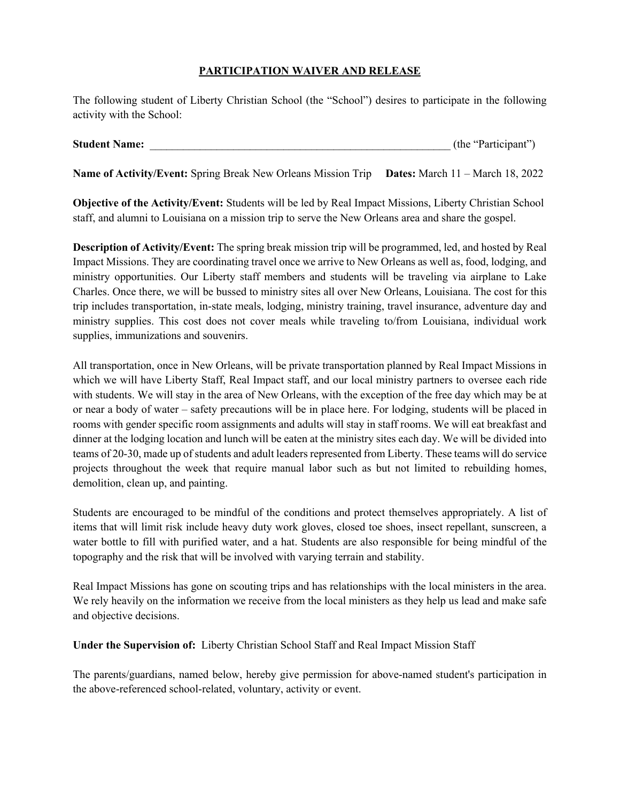## **PARTICIPATION WAIVER AND RELEASE**

The following student of Liberty Christian School (the "School") desires to participate in the following activity with the School:

| <b>Student Name:</b><br>(the "Participant") |
|---------------------------------------------|
|---------------------------------------------|

**Name of Activity/Event:** Spring Break New Orleans Mission Trip **Dates:** March 11 – March 18, 2022

**Objective of the Activity/Event:** Students will be led by Real Impact Missions, Liberty Christian School staff, and alumni to Louisiana on a mission trip to serve the New Orleans area and share the gospel.

**Description of Activity/Event:** The spring break mission trip will be programmed, led, and hosted by Real Impact Missions. They are coordinating travel once we arrive to New Orleans as well as, food, lodging, and ministry opportunities. Our Liberty staff members and students will be traveling via airplane to Lake Charles. Once there, we will be bussed to ministry sites all over New Orleans, Louisiana. The cost for this trip includes transportation, in-state meals, lodging, ministry training, travel insurance, adventure day and ministry supplies. This cost does not cover meals while traveling to/from Louisiana, individual work supplies, immunizations and souvenirs.

All transportation, once in New Orleans, will be private transportation planned by Real Impact Missions in which we will have Liberty Staff, Real Impact staff, and our local ministry partners to oversee each ride with students. We will stay in the area of New Orleans, with the exception of the free day which may be at or near a body of water – safety precautions will be in place here. For lodging, students will be placed in rooms with gender specific room assignments and adults will stay in staff rooms. We will eat breakfast and dinner at the lodging location and lunch will be eaten at the ministry sites each day. We will be divided into teams of 20-30, made up of students and adult leaders represented from Liberty. These teams will do service projects throughout the week that require manual labor such as but not limited to rebuilding homes, demolition, clean up, and painting.

Students are encouraged to be mindful of the conditions and protect themselves appropriately. A list of items that will limit risk include heavy duty work gloves, closed toe shoes, insect repellant, sunscreen, a water bottle to fill with purified water, and a hat. Students are also responsible for being mindful of the topography and the risk that will be involved with varying terrain and stability.

Real Impact Missions has gone on scouting trips and has relationships with the local ministers in the area. We rely heavily on the information we receive from the local ministers as they help us lead and make safe and objective decisions.

**Under the Supervision of:** Liberty Christian School Staff and Real Impact Mission Staff

The parents/guardians, named below, hereby give permission for above-named student's participation in the above-referenced school-related, voluntary, activity or event.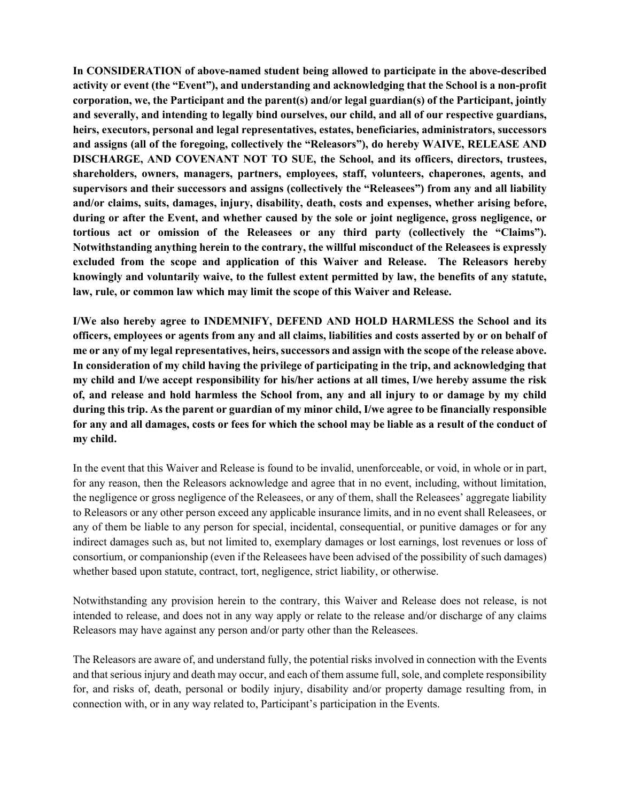**In CONSIDERATION of above-named student being allowed to participate in the above-described activity or event (the "Event"), and understanding and acknowledging that the School is a non-profit corporation, we, the Participant and the parent(s) and/or legal guardian(s) of the Participant, jointly and severally, and intending to legally bind ourselves, our child, and all of our respective guardians, heirs, executors, personal and legal representatives, estates, beneficiaries, administrators, successors and assigns (all of the foregoing, collectively the "Releasors"), do hereby WAIVE, RELEASE AND DISCHARGE, AND COVENANT NOT TO SUE, the School, and its officers, directors, trustees, shareholders, owners, managers, partners, employees, staff, volunteers, chaperones, agents, and supervisors and their successors and assigns (collectively the "Releasees") from any and all liability and/or claims, suits, damages, injury, disability, death, costs and expenses, whether arising before, during or after the Event, and whether caused by the sole or joint negligence, gross negligence, or tortious act or omission of the Releasees or any third party (collectively the "Claims"). Notwithstanding anything herein to the contrary, the willful misconduct of the Releasees is expressly excluded from the scope and application of this Waiver and Release. The Releasors hereby knowingly and voluntarily waive, to the fullest extent permitted by law, the benefits of any statute, law, rule, or common law which may limit the scope of this Waiver and Release.**

**I/We also hereby agree to INDEMNIFY, DEFEND AND HOLD HARMLESS the School and its officers, employees or agents from any and all claims, liabilities and costs asserted by or on behalf of me or any of my legal representatives, heirs, successors and assign with the scope of the release above. In consideration of my child having the privilege of participating in the trip, and acknowledging that my child and I/we accept responsibility for his/her actions at all times, I/we hereby assume the risk of, and release and hold harmless the School from, any and all injury to or damage by my child during this trip. As the parent or guardian of my minor child, I/we agree to be financially responsible for any and all damages, costs or fees for which the school may be liable as a result of the conduct of my child.** 

In the event that this Waiver and Release is found to be invalid, unenforceable, or void, in whole or in part, for any reason, then the Releasors acknowledge and agree that in no event, including, without limitation, the negligence or gross negligence of the Releasees, or any of them, shall the Releasees' aggregate liability to Releasors or any other person exceed any applicable insurance limits, and in no event shall Releasees, or any of them be liable to any person for special, incidental, consequential, or punitive damages or for any indirect damages such as, but not limited to, exemplary damages or lost earnings, lost revenues or loss of consortium, or companionship (even if the Releasees have been advised of the possibility of such damages) whether based upon statute, contract, tort, negligence, strict liability, or otherwise.

Notwithstanding any provision herein to the contrary, this Waiver and Release does not release, is not intended to release, and does not in any way apply or relate to the release and/or discharge of any claims Releasors may have against any person and/or party other than the Releasees.

The Releasors are aware of, and understand fully, the potential risks involved in connection with the Events and that serious injury and death may occur, and each of them assume full, sole, and complete responsibility for, and risks of, death, personal or bodily injury, disability and/or property damage resulting from, in connection with, or in any way related to, Participant's participation in the Events.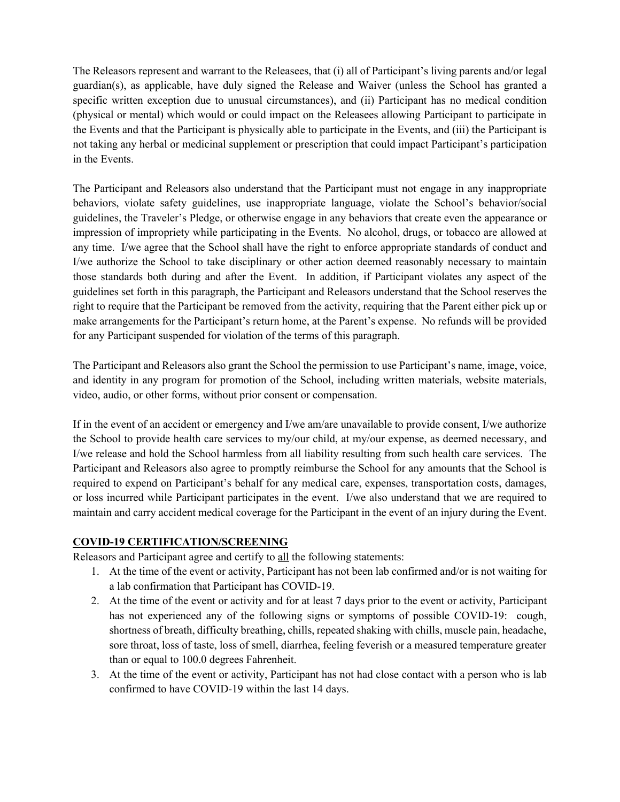The Releasors represent and warrant to the Releasees, that (i) all of Participant's living parents and/or legal guardian(s), as applicable, have duly signed the Release and Waiver (unless the School has granted a specific written exception due to unusual circumstances), and (ii) Participant has no medical condition (physical or mental) which would or could impact on the Releasees allowing Participant to participate in the Events and that the Participant is physically able to participate in the Events, and (iii) the Participant is not taking any herbal or medicinal supplement or prescription that could impact Participant's participation in the Events.

The Participant and Releasors also understand that the Participant must not engage in any inappropriate behaviors, violate safety guidelines, use inappropriate language, violate the School's behavior/social guidelines, the Traveler's Pledge, or otherwise engage in any behaviors that create even the appearance or impression of impropriety while participating in the Events. No alcohol, drugs, or tobacco are allowed at any time. I/we agree that the School shall have the right to enforce appropriate standards of conduct and I/we authorize the School to take disciplinary or other action deemed reasonably necessary to maintain those standards both during and after the Event. In addition, if Participant violates any aspect of the guidelines set forth in this paragraph, the Participant and Releasors understand that the School reserves the right to require that the Participant be removed from the activity, requiring that the Parent either pick up or make arrangements for the Participant's return home, at the Parent's expense. No refunds will be provided for any Participant suspended for violation of the terms of this paragraph.

The Participant and Releasors also grant the School the permission to use Participant's name, image, voice, and identity in any program for promotion of the School, including written materials, website materials, video, audio, or other forms, without prior consent or compensation.

If in the event of an accident or emergency and I/we am/are unavailable to provide consent, I/we authorize the School to provide health care services to my/our child, at my/our expense, as deemed necessary, and I/we release and hold the School harmless from all liability resulting from such health care services. The Participant and Releasors also agree to promptly reimburse the School for any amounts that the School is required to expend on Participant's behalf for any medical care, expenses, transportation costs, damages, or loss incurred while Participant participates in the event. I/we also understand that we are required to maintain and carry accident medical coverage for the Participant in the event of an injury during the Event.

## **COVID-19 CERTIFICATION/SCREENING**

Releasors and Participant agree and certify to all the following statements:

- 1. At the time of the event or activity, Participant has not been lab confirmed and/or is not waiting for a lab confirmation that Participant has COVID-19.
- 2. At the time of the event or activity and for at least 7 days prior to the event or activity, Participant has not experienced any of the following signs or symptoms of possible COVID-19: cough, shortness of breath, difficulty breathing, chills, repeated shaking with chills, muscle pain, headache, sore throat, loss of taste, loss of smell, diarrhea, feeling feverish or a measured temperature greater than or equal to 100.0 degrees Fahrenheit.
- 3. At the time of the event or activity, Participant has not had close contact with a person who is lab confirmed to have COVID-19 within the last 14 days.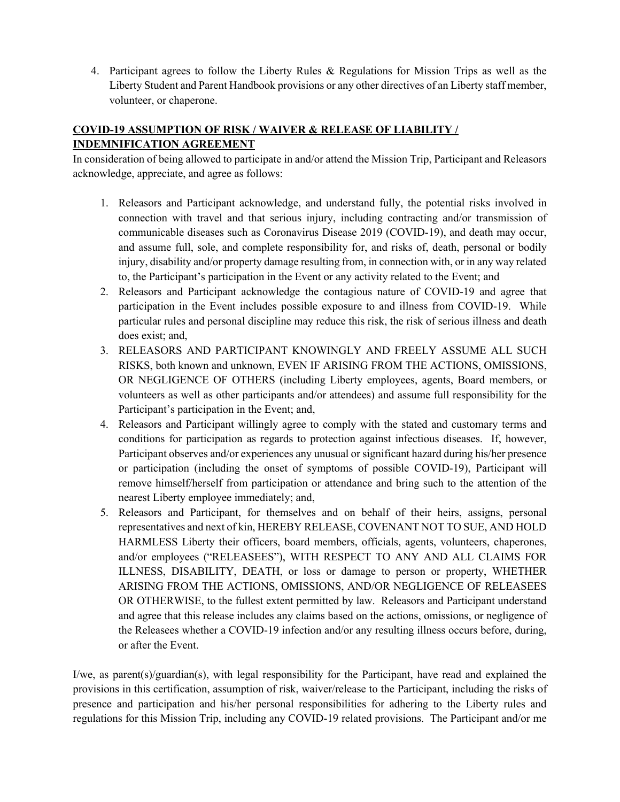4. Participant agrees to follow the Liberty Rules & Regulations for Mission Trips as well as the Liberty Student and Parent Handbook provisions or any other directives of an Liberty staff member, volunteer, or chaperone.

## **COVID-19 ASSUMPTION OF RISK / WAIVER & RELEASE OF LIABILITY / INDEMNIFICATION AGREEMENT**

In consideration of being allowed to participate in and/or attend the Mission Trip, Participant and Releasors acknowledge, appreciate, and agree as follows:

- 1. Releasors and Participant acknowledge, and understand fully, the potential risks involved in connection with travel and that serious injury, including contracting and/or transmission of communicable diseases such as Coronavirus Disease 2019 (COVID-19), and death may occur, and assume full, sole, and complete responsibility for, and risks of, death, personal or bodily injury, disability and/or property damage resulting from, in connection with, or in any way related to, the Participant's participation in the Event or any activity related to the Event; and
- 2. Releasors and Participant acknowledge the contagious nature of COVID-19 and agree that participation in the Event includes possible exposure to and illness from COVID-19. While particular rules and personal discipline may reduce this risk, the risk of serious illness and death does exist; and,
- 3. RELEASORS AND PARTICIPANT KNOWINGLY AND FREELY ASSUME ALL SUCH RISKS, both known and unknown, EVEN IF ARISING FROM THE ACTIONS, OMISSIONS, OR NEGLIGENCE OF OTHERS (including Liberty employees, agents, Board members, or volunteers as well as other participants and/or attendees) and assume full responsibility for the Participant's participation in the Event; and,
- 4. Releasors and Participant willingly agree to comply with the stated and customary terms and conditions for participation as regards to protection against infectious diseases. If, however, Participant observes and/or experiences any unusual or significant hazard during his/her presence or participation (including the onset of symptoms of possible COVID-19), Participant will remove himself/herself from participation or attendance and bring such to the attention of the nearest Liberty employee immediately; and,
- 5. Releasors and Participant, for themselves and on behalf of their heirs, assigns, personal representatives and next of kin, HEREBY RELEASE, COVENANT NOT TO SUE, AND HOLD HARMLESS Liberty their officers, board members, officials, agents, volunteers, chaperones, and/or employees ("RELEASEES"), WITH RESPECT TO ANY AND ALL CLAIMS FOR ILLNESS, DISABILITY, DEATH, or loss or damage to person or property, WHETHER ARISING FROM THE ACTIONS, OMISSIONS, AND/OR NEGLIGENCE OF RELEASEES OR OTHERWISE, to the fullest extent permitted by law. Releasors and Participant understand and agree that this release includes any claims based on the actions, omissions, or negligence of the Releasees whether a COVID-19 infection and/or any resulting illness occurs before, during, or after the Event.

I/we, as parent(s)/guardian(s), with legal responsibility for the Participant, have read and explained the provisions in this certification, assumption of risk, waiver/release to the Participant, including the risks of presence and participation and his/her personal responsibilities for adhering to the Liberty rules and regulations for this Mission Trip, including any COVID-19 related provisions. The Participant and/or me